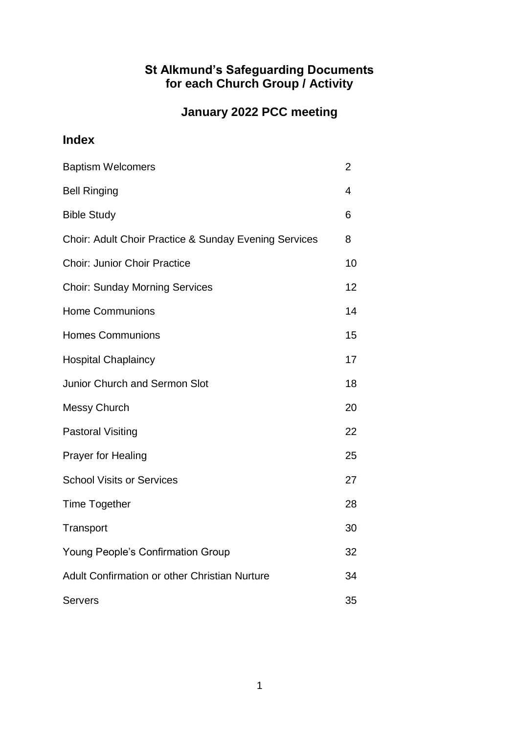# **St Alkmund's Safeguarding Documents for each Church Group / Activity**

# **January 2022 PCC meeting**

# **Index**

| <b>Baptism Welcomers</b>                              | 2  |
|-------------------------------------------------------|----|
| <b>Bell Ringing</b>                                   | 4  |
| <b>Bible Study</b>                                    | 6  |
| Choir: Adult Choir Practice & Sunday Evening Services | 8  |
| <b>Choir: Junior Choir Practice</b>                   | 10 |
| <b>Choir: Sunday Morning Services</b>                 | 12 |
| <b>Home Communions</b>                                | 14 |
| <b>Homes Communions</b>                               | 15 |
| <b>Hospital Chaplaincy</b>                            | 17 |
| <b>Junior Church and Sermon Slot</b>                  | 18 |
| <b>Messy Church</b>                                   | 20 |
| <b>Pastoral Visiting</b>                              | 22 |
| <b>Prayer for Healing</b>                             | 25 |
| <b>School Visits or Services</b>                      | 27 |
| <b>Time Together</b>                                  | 28 |
| Transport                                             | 30 |
| <b>Young People's Confirmation Group</b>              | 32 |
| Adult Confirmation or other Christian Nurture         | 34 |
| <b>Servers</b>                                        | 35 |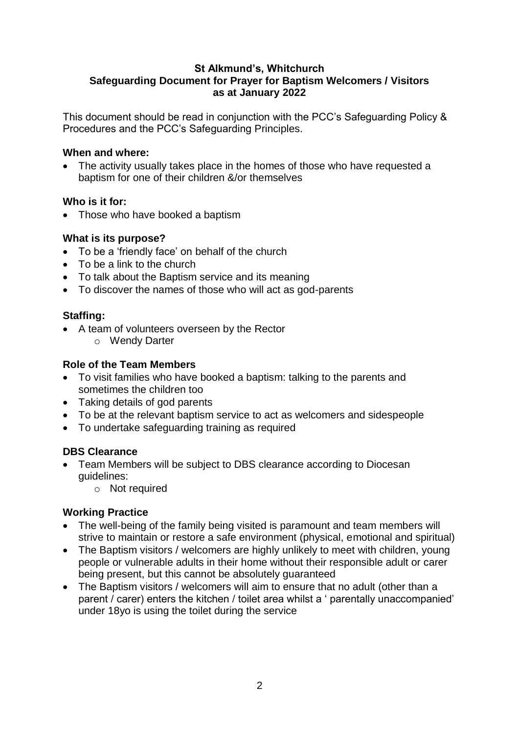#### **St Alkmund's, Whitchurch Safeguarding Document for Prayer for Baptism Welcomers / Visitors as at January 2022**

This document should be read in conjunction with the PCC's Safeguarding Policy & Procedures and the PCC's Safeguarding Principles.

# **When and where:**

• The activity usually takes place in the homes of those who have requested a baptism for one of their children &/or themselves

# **Who is it for:**

• Those who have booked a baptism

# **What is its purpose?**

- To be a 'friendly face' on behalf of the church
- To be a link to the church
- To talk about the Baptism service and its meaning
- To discover the names of those who will act as god-parents

# **Staffing:**

- A team of volunteers overseen by the Rector
	- o Wendy Darter

# **Role of the Team Members**

- To visit families who have booked a baptism: talking to the parents and sometimes the children too
- Taking details of god parents
- To be at the relevant baptism service to act as welcomers and sidespeople
- To undertake safeguarding training as required

# **DBS Clearance**

- Team Members will be subject to DBS clearance according to Diocesan guidelines:
	- o Not required

- The well-being of the family being visited is paramount and team members will strive to maintain or restore a safe environment (physical, emotional and spiritual)
- The Baptism visitors / welcomers are highly unlikely to meet with children, young people or vulnerable adults in their home without their responsible adult or carer being present, but this cannot be absolutely guaranteed
- The Baptism visitors / welcomers will aim to ensure that no adult (other than a parent / carer) enters the kitchen / toilet area whilst a ' parentally unaccompanied' under 18yo is using the toilet during the service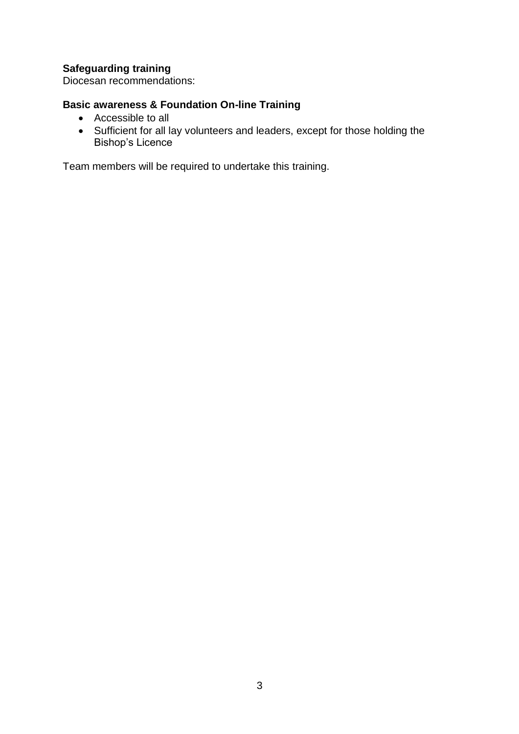Diocesan recommendations:

# **Basic awareness & Foundation On-line Training**

- Accessible to all
- Sufficient for all lay volunteers and leaders, except for those holding the Bishop's Licence

Team members will be required to undertake this training.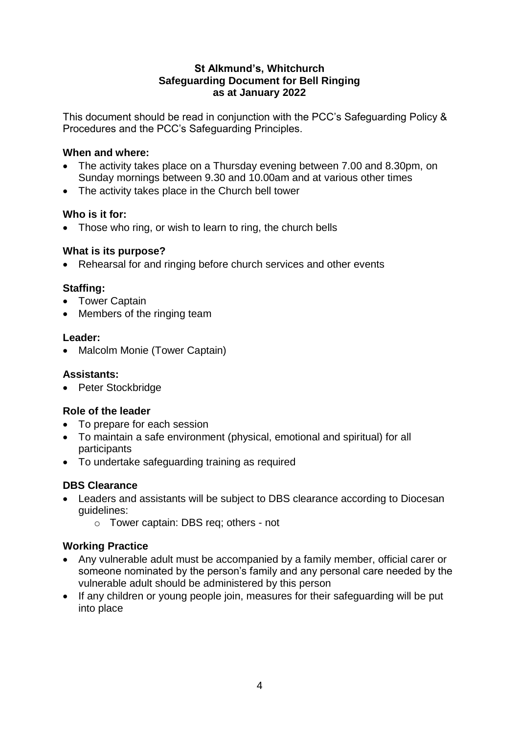### **St Alkmund's, Whitchurch Safeguarding Document for Bell Ringing as at January 2022**

This document should be read in conjunction with the PCC's Safeguarding Policy & Procedures and the PCC's Safeguarding Principles.

# **When and where:**

- The activity takes place on a Thursday evening between 7.00 and 8.30pm, on Sunday mornings between 9.30 and 10.00am and at various other times
- The activity takes place in the Church bell tower

# **Who is it for:**

• Those who ring, or wish to learn to ring, the church bells

#### **What is its purpose?**

• Rehearsal for and ringing before church services and other events

# **Staffing:**

- Tower Captain
- Members of the ringing team

#### **Leader:**

• Malcolm Monie (Tower Captain)

#### **Assistants:**

• Peter Stockbridge

#### **Role of the leader**

- To prepare for each session
- To maintain a safe environment (physical, emotional and spiritual) for all participants
- To undertake safeguarding training as required

# **DBS Clearance**

- Leaders and assistants will be subject to DBS clearance according to Diocesan guidelines:
	- o Tower captain: DBS req; others not

- Any vulnerable adult must be accompanied by a family member, official carer or someone nominated by the person's family and any personal care needed by the vulnerable adult should be administered by this person
- If any children or young people join, measures for their safeguarding will be put into place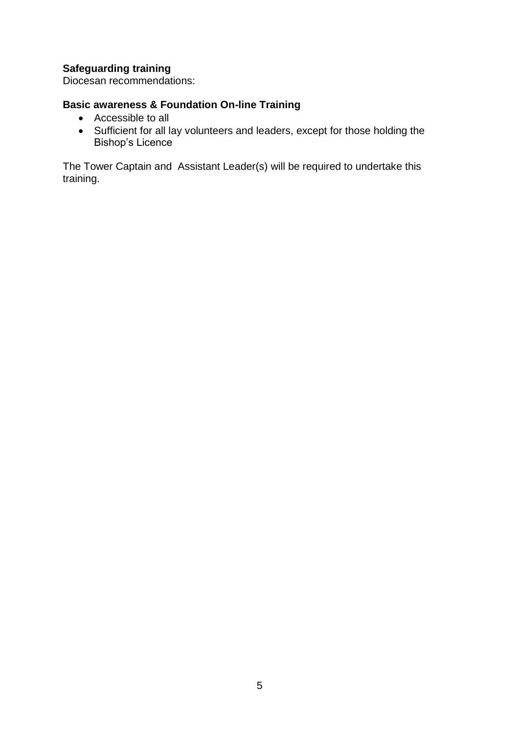Diocesan recommendations:

# **Basic awareness & Foundation On-line Training**

- Accessible to all
- Sufficient for all lay volunteers and leaders, except for those holding the Bishop's Licence

The Tower Captain and Assistant Leader(s) will be required to undertake this training.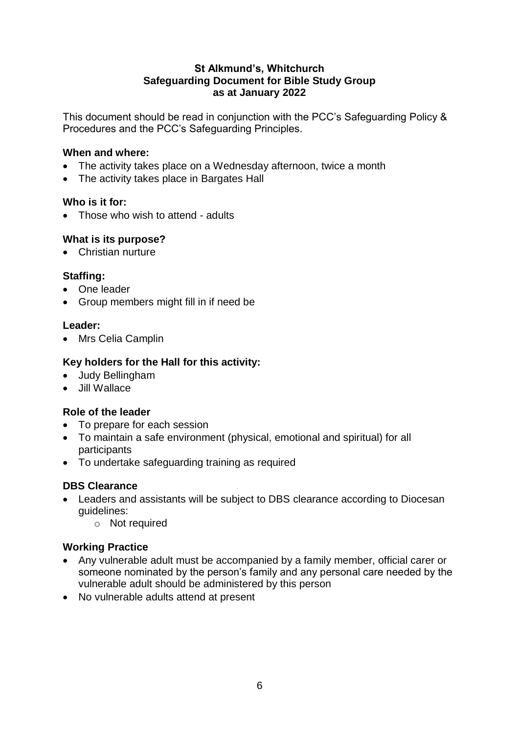### **St Alkmund's, Whitchurch Safeguarding Document for Bible Study Group as at January 2022**

This document should be read in conjunction with the PCC's Safeguarding Policy & Procedures and the PCC's Safeguarding Principles.

# **When and where:**

- The activity takes place on a Wednesday afternoon, twice a month
- The activity takes place in Bargates Hall

# **Who is it for:**

• Those who wish to attend - adults

# **What is its purpose?**

• Christian nurture

# **Staffing:**

- One leader
- Group members might fill in if need be

#### **Leader:**

• Mrs Celia Camplin

# **Key holders for the Hall for this activity:**

- Judy Bellingham
- Jill Wallace

# **Role of the leader**

- To prepare for each session
- To maintain a safe environment (physical, emotional and spiritual) for all participants
- To undertake safeguarding training as required

# **DBS Clearance**

- Leaders and assistants will be subject to DBS clearance according to Diocesan guidelines:
	- o Not required

- Any vulnerable adult must be accompanied by a family member, official carer or someone nominated by the person's family and any personal care needed by the vulnerable adult should be administered by this person
- No vulnerable adults attend at present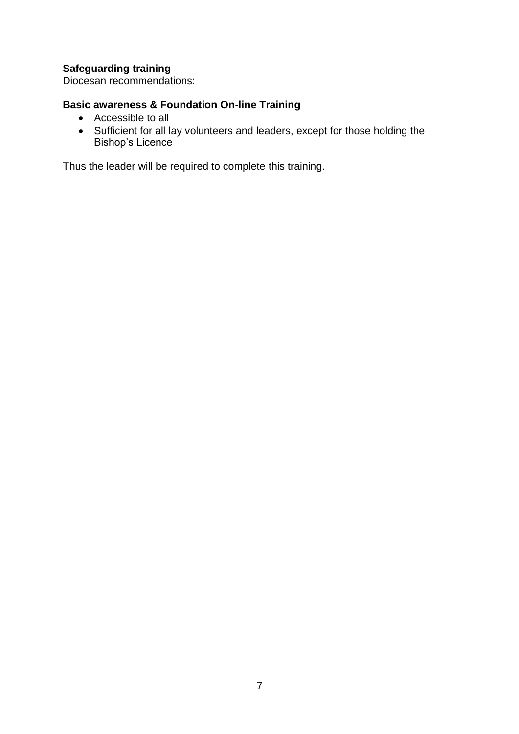Diocesan recommendations:

# **Basic awareness & Foundation On-line Training**

- Accessible to all
- Sufficient for all lay volunteers and leaders, except for those holding the Bishop's Licence

Thus the leader will be required to complete this training.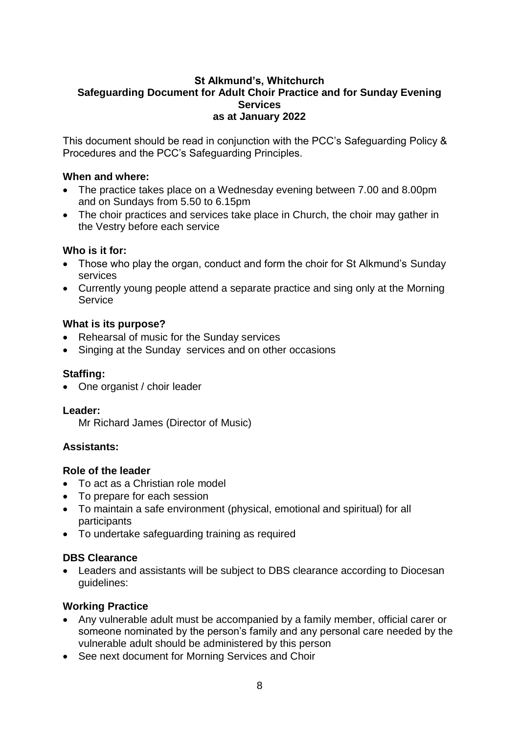### **St Alkmund's, Whitchurch Safeguarding Document for Adult Choir Practice and for Sunday Evening Services as at January 2022**

This document should be read in conjunction with the PCC's Safeguarding Policy & Procedures and the PCC's Safeguarding Principles.

### **When and where:**

- The practice takes place on a Wednesday evening between 7.00 and 8.00pm and on Sundays from 5.50 to 6.15pm
- The choir practices and services take place in Church, the choir may gather in the Vestry before each service

#### **Who is it for:**

- Those who play the organ, conduct and form the choir for St Alkmund's Sunday services
- Currently young people attend a separate practice and sing only at the Morning Service

#### **What is its purpose?**

- Rehearsal of music for the Sunday services
- Singing at the Sunday services and on other occasions

# **Staffing:**

• One organist / choir leader

#### **Leader:**

Mr Richard James (Director of Music)

#### **Assistants:**

#### **Role of the leader**

- To act as a Christian role model
- To prepare for each session
- To maintain a safe environment (physical, emotional and spiritual) for all participants
- To undertake safeguarding training as required

#### **DBS Clearance**

 Leaders and assistants will be subject to DBS clearance according to Diocesan guidelines:

- Any vulnerable adult must be accompanied by a family member, official carer or someone nominated by the person's family and any personal care needed by the vulnerable adult should be administered by this person
- See next document for Morning Services and Choir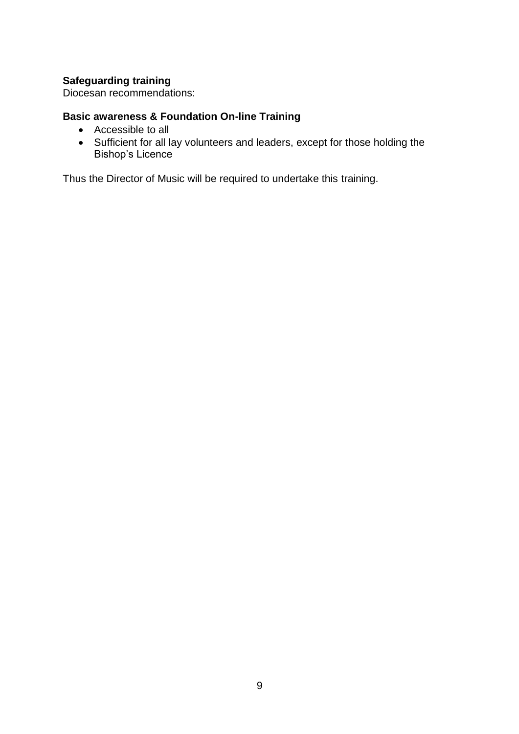Diocesan recommendations:

# **Basic awareness & Foundation On-line Training**

- Accessible to all
- Sufficient for all lay volunteers and leaders, except for those holding the Bishop's Licence

Thus the Director of Music will be required to undertake this training.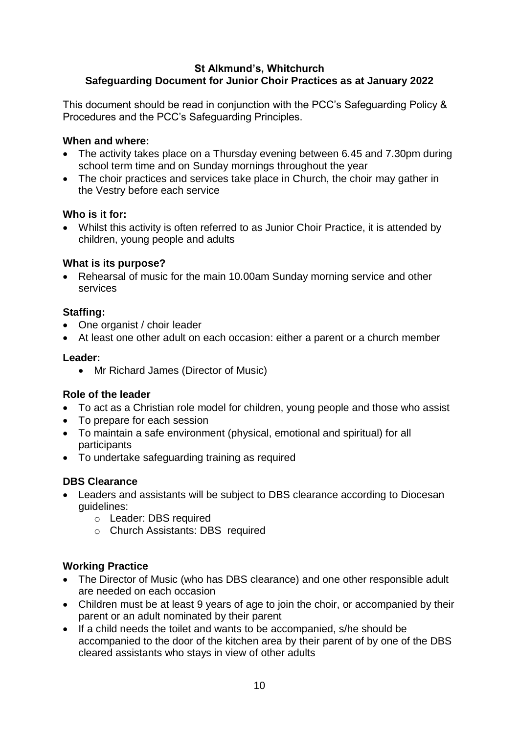# **St Alkmund's, Whitchurch Safeguarding Document for Junior Choir Practices as at January 2022**

This document should be read in conjunction with the PCC's Safeguarding Policy & Procedures and the PCC's Safeguarding Principles.

### **When and where:**

- The activity takes place on a Thursday evening between 6.45 and 7.30pm during school term time and on Sunday mornings throughout the year
- The choir practices and services take place in Church, the choir may gather in the Vestry before each service

# **Who is it for:**

 Whilst this activity is often referred to as Junior Choir Practice, it is attended by children, young people and adults

# **What is its purpose?**

 Rehearsal of music for the main 10.00am Sunday morning service and other services

# **Staffing:**

- One organist / choir leader
- At least one other adult on each occasion: either a parent or a church member

# **Leader:**

• Mr Richard James (Director of Music)

# **Role of the leader**

- To act as a Christian role model for children, young people and those who assist
- To prepare for each session
- To maintain a safe environment (physical, emotional and spiritual) for all participants
- To undertake safeguarding training as required

# **DBS Clearance**

- Leaders and assistants will be subject to DBS clearance according to Diocesan guidelines:
	- o Leader: DBS required
	- o Church Assistants: DBS required

- The Director of Music (who has DBS clearance) and one other responsible adult are needed on each occasion
- Children must be at least 9 years of age to join the choir, or accompanied by their parent or an adult nominated by their parent
- If a child needs the toilet and wants to be accompanied, s/he should be accompanied to the door of the kitchen area by their parent of by one of the DBS cleared assistants who stays in view of other adults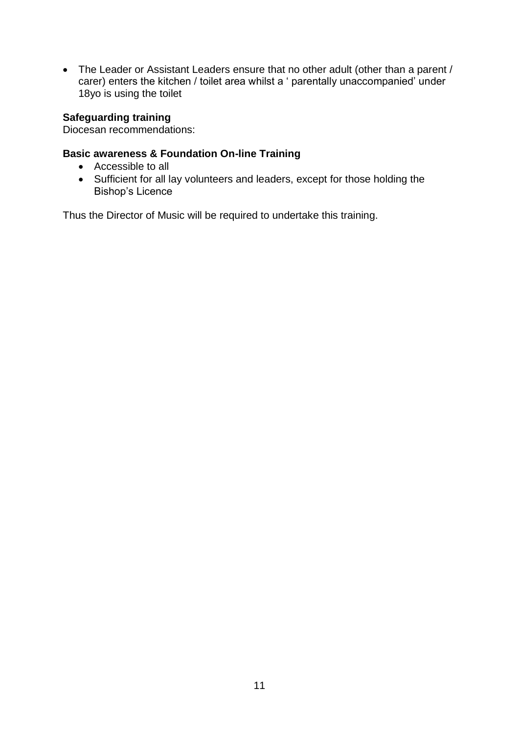• The Leader or Assistant Leaders ensure that no other adult (other than a parent / carer) enters the kitchen / toilet area whilst a ' parentally unaccompanied' under 18yo is using the toilet

# **Safeguarding training**

Diocesan recommendations:

### **Basic awareness & Foundation On-line Training**

- Accessible to all
- Sufficient for all lay volunteers and leaders, except for those holding the Bishop's Licence

Thus the Director of Music will be required to undertake this training.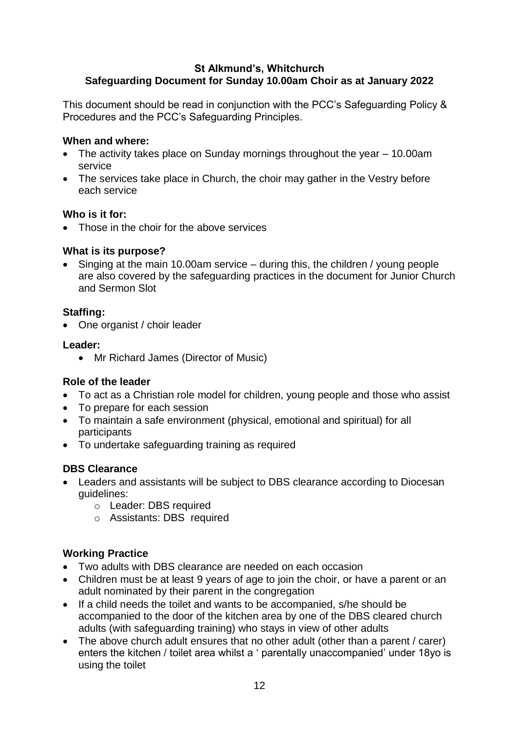# **St Alkmund's, Whitchurch Safeguarding Document for Sunday 10.00am Choir as at January 2022**

This document should be read in conjunction with the PCC's Safeguarding Policy & Procedures and the PCC's Safeguarding Principles.

### **When and where:**

- The activity takes place on Sunday mornings throughout the year 10.00am service
- The services take place in Church, the choir may gather in the Vestry before each service

# **Who is it for:**

• Those in the choir for the above services

# **What is its purpose?**

• Singing at the main 10.00am service – during this, the children / young people are also covered by the safeguarding practices in the document for Junior Church and Sermon Slot

# **Staffing:**

• One organist / choir leader

# **Leader:**

• Mr Richard James (Director of Music)

# **Role of the leader**

- To act as a Christian role model for children, young people and those who assist
- To prepare for each session
- To maintain a safe environment (physical, emotional and spiritual) for all participants
- To undertake safeguarding training as required

# **DBS Clearance**

- Leaders and assistants will be subject to DBS clearance according to Diocesan guidelines:
	- o Leader: DBS required
	- o Assistants: DBS required

- Two adults with DBS clearance are needed on each occasion
- Children must be at least 9 years of age to join the choir, or have a parent or an adult nominated by their parent in the congregation
- If a child needs the toilet and wants to be accompanied, s/he should be accompanied to the door of the kitchen area by one of the DBS cleared church adults (with safeguarding training) who stays in view of other adults
- The above church adult ensures that no other adult (other than a parent / carer) enters the kitchen / toilet area whilst a ' parentally unaccompanied' under 18yo is using the toilet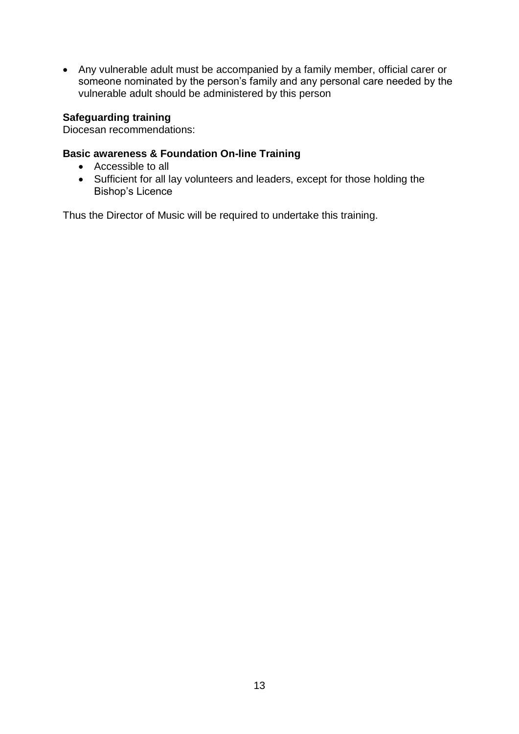Any vulnerable adult must be accompanied by a family member, official carer or someone nominated by the person's family and any personal care needed by the vulnerable adult should be administered by this person

# **Safeguarding training**

Diocesan recommendations:

#### **Basic awareness & Foundation On-line Training**

- Accessible to all
- Sufficient for all lay volunteers and leaders, except for those holding the Bishop's Licence

Thus the Director of Music will be required to undertake this training.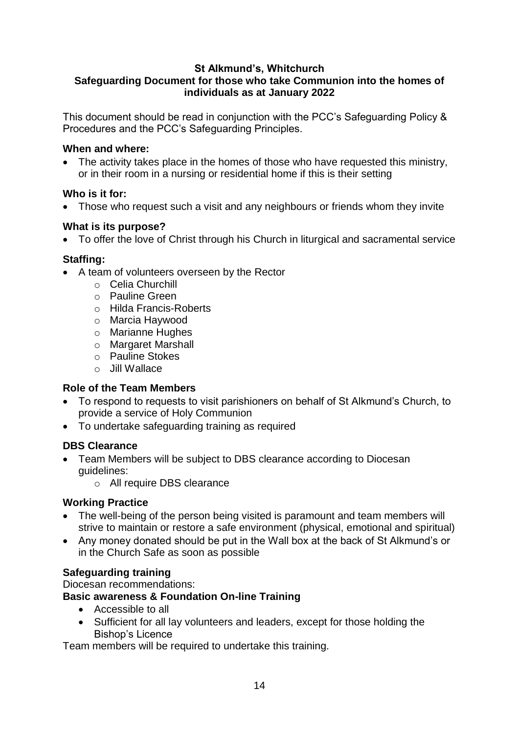# **St Alkmund's, Whitchurch**

# **Safeguarding Document for those who take Communion into the homes of individuals as at January 2022**

This document should be read in conjunction with the PCC's Safeguarding Policy & Procedures and the PCC's Safeguarding Principles.

#### **When and where:**

• The activity takes place in the homes of those who have requested this ministry, or in their room in a nursing or residential home if this is their setting

# **Who is it for:**

• Those who request such a visit and any neighbours or friends whom they invite

# **What is its purpose?**

To offer the love of Christ through his Church in liturgical and sacramental service

# **Staffing:**

- A team of volunteers overseen by the Rector
	- o Celia Churchill
	- o Pauline Green
	- o Hilda Francis-Roberts
	- o Marcia Haywood
	- o Marianne Hughes
	- o Margaret Marshall
	- o Pauline Stokes
	- o Jill Wallace

# **Role of the Team Members**

- To respond to requests to visit parishioners on behalf of St Alkmund's Church, to provide a service of Holy Communion
- To undertake safeguarding training as required

# **DBS Clearance**

- Team Members will be subject to DBS clearance according to Diocesan guidelines:
	- o All require DBS clearance

# **Working Practice**

- The well-being of the person being visited is paramount and team members will strive to maintain or restore a safe environment (physical, emotional and spiritual)
- Any money donated should be put in the Wall box at the back of St Alkmund's or in the Church Safe as soon as possible

# **Safeguarding training**

Diocesan recommendations:

# **Basic awareness & Foundation On-line Training**

- Accessible to all
- Sufficient for all lay volunteers and leaders, except for those holding the Bishop's Licence

Team members will be required to undertake this training.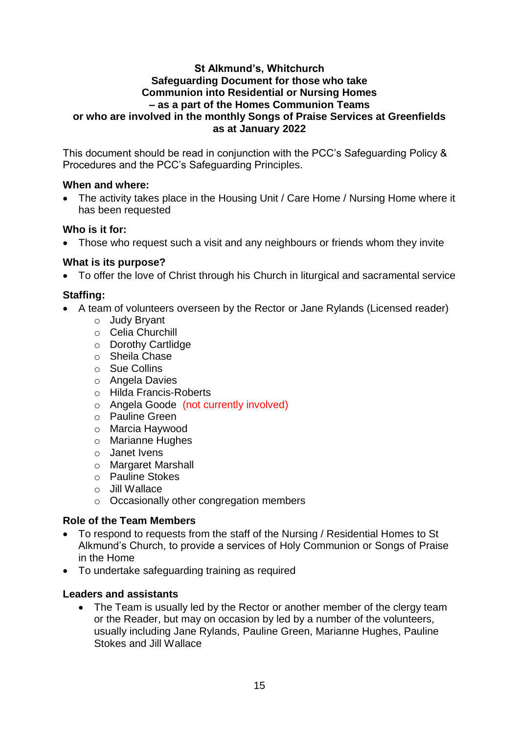#### **St Alkmund's, Whitchurch Safeguarding Document for those who take Communion into Residential or Nursing Homes – as a part of the Homes Communion Teams or who are involved in the monthly Songs of Praise Services at Greenfields as at January 2022**

This document should be read in conjunction with the PCC's Safeguarding Policy & Procedures and the PCC's Safeguarding Principles.

# **When and where:**

 The activity takes place in the Housing Unit / Care Home / Nursing Home where it has been requested

# **Who is it for:**

• Those who request such a visit and any neighbours or friends whom they invite

# **What is its purpose?**

To offer the love of Christ through his Church in liturgical and sacramental service

# **Staffing:**

- A team of volunteers overseen by the Rector or Jane Rylands (Licensed reader)
	- o Judy Bryant
	- o Celia Churchill
	- o Dorothy Cartlidge
	- o Sheila Chase
	- o Sue Collins
	- o Angela Davies
	- o Hilda Francis-Roberts
	- o Angela Goode (not currently involved)
	- o Pauline Green
	- o Marcia Haywood
	- o Marianne Hughes
	- o Janet Ivens
	- o Margaret Marshall
	- o Pauline Stokes
	- o Jill Wallace
	- o Occasionally other congregation members

#### **Role of the Team Members**

- To respond to requests from the staff of the Nursing / Residential Homes to St Alkmund's Church, to provide a services of Holy Communion or Songs of Praise in the Home
- To undertake safeguarding training as required

# **Leaders and assistants**

• The Team is usually led by the Rector or another member of the clergy team or the Reader, but may on occasion by led by a number of the volunteers, usually including Jane Rylands, Pauline Green, Marianne Hughes, Pauline Stokes and Jill Wallace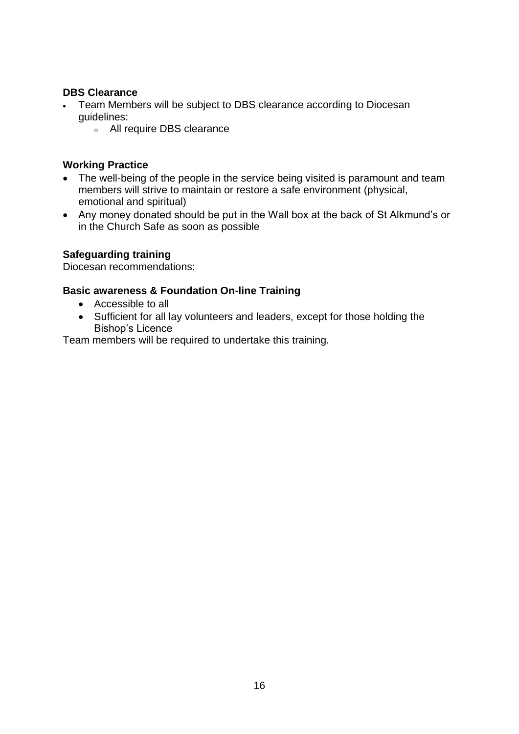### **DBS Clearance**

- Team Members will be subject to DBS clearance according to Diocesan guidelines:
	- <sup>o</sup> All require DBS clearance

### **Working Practice**

- The well-being of the people in the service being visited is paramount and team members will strive to maintain or restore a safe environment (physical, emotional and spiritual)
- Any money donated should be put in the Wall box at the back of St Alkmund's or in the Church Safe as soon as possible

# **Safeguarding training**

Diocesan recommendations:

#### **Basic awareness & Foundation On-line Training**

- Accessible to all
- Sufficient for all lay volunteers and leaders, except for those holding the Bishop's Licence

Team members will be required to undertake this training.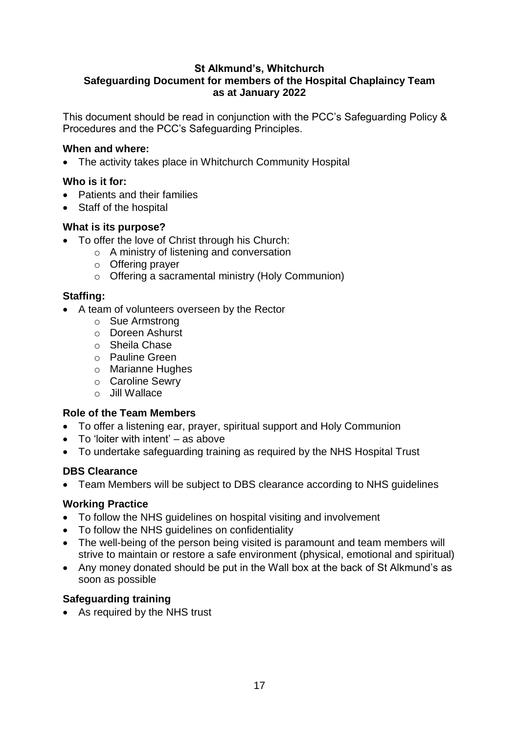# **St Alkmund's, Whitchurch Safeguarding Document for members of the Hospital Chaplaincy Team as at January 2022**

This document should be read in conjunction with the PCC's Safeguarding Policy & Procedures and the PCC's Safeguarding Principles.

# **When and where:**

• The activity takes place in Whitchurch Community Hospital

# **Who is it for:**

- Patients and their families
- Staff of the hospital

# **What is its purpose?**

- To offer the love of Christ through his Church:
	- o A ministry of listening and conversation
	- o Offering prayer
	- o Offering a sacramental ministry (Holy Communion)

# **Staffing:**

- A team of volunteers overseen by the Rector
	- o Sue Armstrong
	- o Doreen Ashurst
	- o Sheila Chase
	- o Pauline Green
	- o Marianne Hughes
	- o Caroline Sewry
	- o Jill Wallace

#### **Role of the Team Members**

- To offer a listening ear, prayer, spiritual support and Holy Communion
- $\bullet$  To 'loiter with intent' as above
- To undertake safeguarding training as required by the NHS Hospital Trust

# **DBS Clearance**

Team Members will be subject to DBS clearance according to NHS guidelines

#### **Working Practice**

- To follow the NHS guidelines on hospital visiting and involvement
- To follow the NHS guidelines on confidentiality
- The well-being of the person being visited is paramount and team members will strive to maintain or restore a safe environment (physical, emotional and spiritual)
- Any money donated should be put in the Wall box at the back of St Alkmund's as soon as possible

# **Safeguarding training**

As required by the NHS trust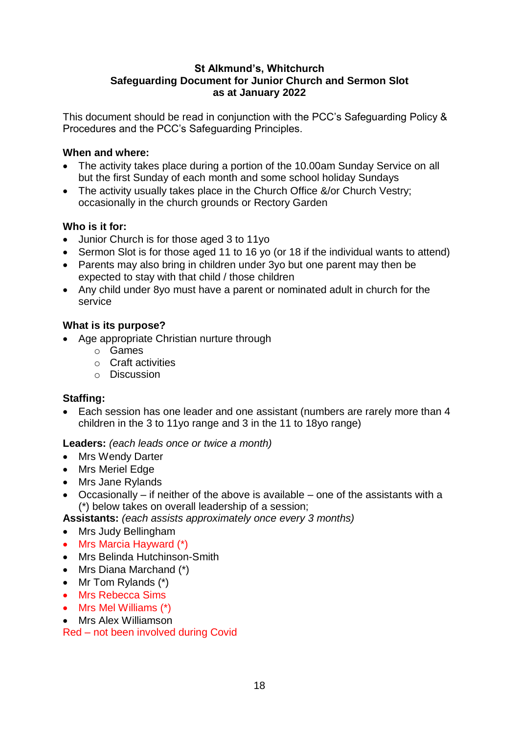#### **St Alkmund's, Whitchurch Safeguarding Document for Junior Church and Sermon Slot as at January 2022**

This document should be read in conjunction with the PCC's Safeguarding Policy & Procedures and the PCC's Safeguarding Principles.

# **When and where:**

- The activity takes place during a portion of the 10.00am Sunday Service on all but the first Sunday of each month and some school holiday Sundays
- The activity usually takes place in the Church Office &/or Church Vestry; occasionally in the church grounds or Rectory Garden

# **Who is it for:**

- Junior Church is for those aged 3 to 11yo
- Sermon Slot is for those aged 11 to 16 yo (or 18 if the individual wants to attend)
- Parents may also bring in children under 3yo but one parent may then be expected to stay with that child / those children
- Any child under 8yo must have a parent or nominated adult in church for the service

# **What is its purpose?**

- Age appropriate Christian nurture through
	- o Games
	- o Craft activities
	- o Discussion

# **Staffing:**

 Each session has one leader and one assistant (numbers are rarely more than 4 children in the 3 to 11yo range and 3 in the 11 to 18yo range)

#### **Leaders:** *(each leads once or twice a month)*

- Mrs Wendy Darter
- Mrs Meriel Edge
- Mrs Jane Rylands
- Occasionally if neither of the above is available one of the assistants with a (\*) below takes on overall leadership of a session;
- **Assistants:** *(each assists approximately once every 3 months)*
- Mrs Judy Bellingham
- Mrs Marcia Hayward (\*)
- Mrs Belinda Hutchinson-Smith
- Mrs Diana Marchand (\*)
- $\bullet$  Mr Tom Rylands  $(*)$
- Mrs Rebecca Sims
- Mrs Mel Williams (\*)
- Mrs Alex Williamson

Red – not been involved during Covid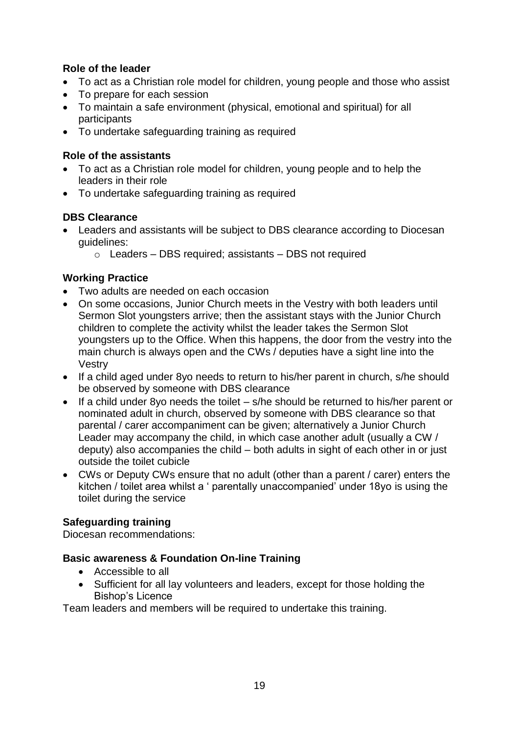# **Role of the leader**

- To act as a Christian role model for children, young people and those who assist
- To prepare for each session
- To maintain a safe environment (physical, emotional and spiritual) for all participants
- To undertake safeguarding training as required

# **Role of the assistants**

- To act as a Christian role model for children, young people and to help the leaders in their role
- To undertake safeguarding training as required

# **DBS Clearance**

- Leaders and assistants will be subject to DBS clearance according to Diocesan guidelines:
	- $\circ$  Leaders DBS required; assistants DBS not required

# **Working Practice**

- Two adults are needed on each occasion
- On some occasions, Junior Church meets in the Vestry with both leaders until Sermon Slot youngsters arrive; then the assistant stays with the Junior Church children to complete the activity whilst the leader takes the Sermon Slot youngsters up to the Office. When this happens, the door from the vestry into the main church is always open and the CWs / deputies have a sight line into the Vestry
- If a child aged under 8yo needs to return to his/her parent in church, s/he should be observed by someone with DBS clearance
- $\bullet$  If a child under 8yo needs the toilet s/he should be returned to his/her parent or nominated adult in church, observed by someone with DBS clearance so that parental / carer accompaniment can be given; alternatively a Junior Church Leader may accompany the child, in which case another adult (usually a CW / deputy) also accompanies the child – both adults in sight of each other in or just outside the toilet cubicle
- CWs or Deputy CWs ensure that no adult (other than a parent / carer) enters the kitchen / toilet area whilst a ' parentally unaccompanied' under 18yo is using the toilet during the service

# **Safeguarding training**

Diocesan recommendations:

# **Basic awareness & Foundation On-line Training**

- Accessible to all
- Sufficient for all lay volunteers and leaders, except for those holding the Bishop's Licence

Team leaders and members will be required to undertake this training.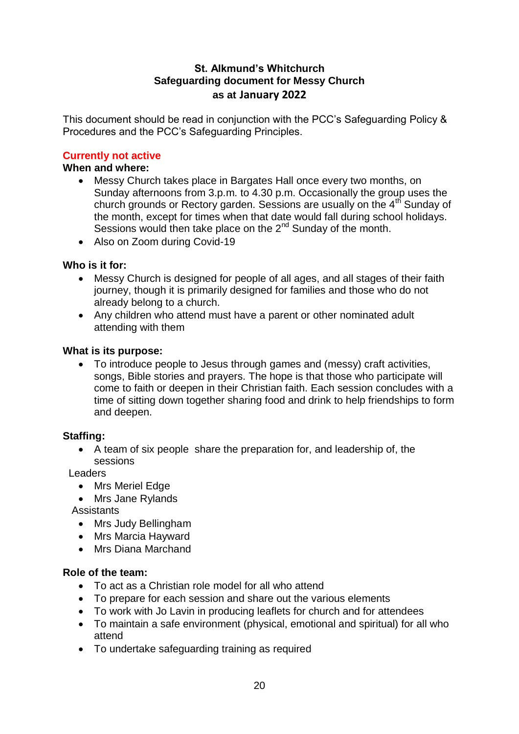# **St. Alkmund's Whitchurch Safeguarding document for Messy Church as at January 2022**

This document should be read in conjunction with the PCC's Safeguarding Policy & Procedures and the PCC's Safeguarding Principles.

# **Currently not active**

#### **When and where:**

- Messy Church takes place in Bargates Hall once every two months, on Sunday afternoons from 3.p.m. to 4.30 p.m. Occasionally the group uses the church grounds or Rectory garden. Sessions are usually on the  $4<sup>th</sup>$  Sunday of the month, except for times when that date would fall during school holidays. Sessions would then take place on the  $2^{nd}$  Sunday of the month.
- Also on Zoom during Covid-19

# **Who is it for:**

- Messy Church is designed for people of all ages, and all stages of their faith journey, though it is primarily designed for families and those who do not already belong to a church.
- Any children who attend must have a parent or other nominated adult attending with them

#### **What is its purpose:**

 To introduce people to Jesus through games and (messy) craft activities, songs, Bible stories and prayers. The hope is that those who participate will come to faith or deepen in their Christian faith. Each session concludes with a time of sitting down together sharing food and drink to help friendships to form and deepen.

#### **Staffing:**

 A team of six people share the preparation for, and leadership of, the sessions

Leaders

- Mrs Meriel Edge
- Mrs Jane Rylands

**Assistants** 

- Mrs Judy Bellingham
- Mrs Marcia Hayward
- Mrs Diana Marchand

#### **Role of the team:**

- To act as a Christian role model for all who attend
- To prepare for each session and share out the various elements
- To work with Jo Lavin in producing leaflets for church and for attendees
- To maintain a safe environment (physical, emotional and spiritual) for all who attend
- To undertake safeguarding training as required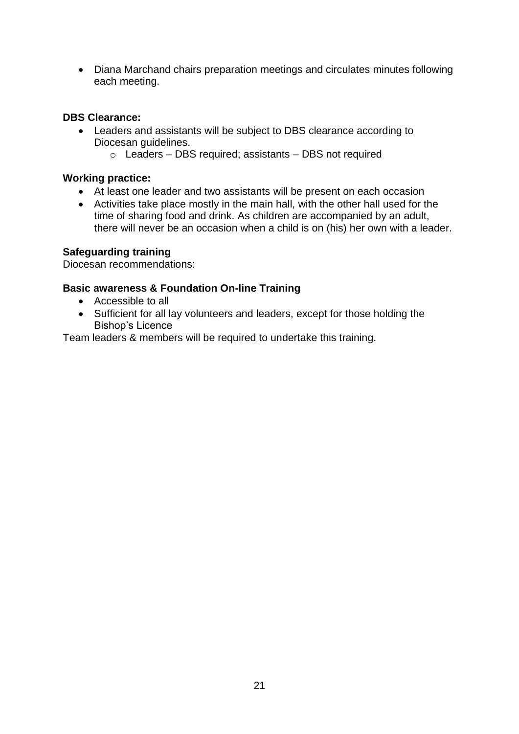Diana Marchand chairs preparation meetings and circulates minutes following each meeting.

# **DBS Clearance:**

- Leaders and assistants will be subject to DBS clearance according to Diocesan guidelines.
	- o Leaders DBS required; assistants DBS not required

#### **Working practice:**

- At least one leader and two assistants will be present on each occasion
- Activities take place mostly in the main hall, with the other hall used for the time of sharing food and drink. As children are accompanied by an adult, there will never be an occasion when a child is on (his) her own with a leader.

# **Safeguarding training**

Diocesan recommendations:

# **Basic awareness & Foundation On-line Training**

- Accessible to all
- Sufficient for all lay volunteers and leaders, except for those holding the Bishop's Licence

Team leaders & members will be required to undertake this training.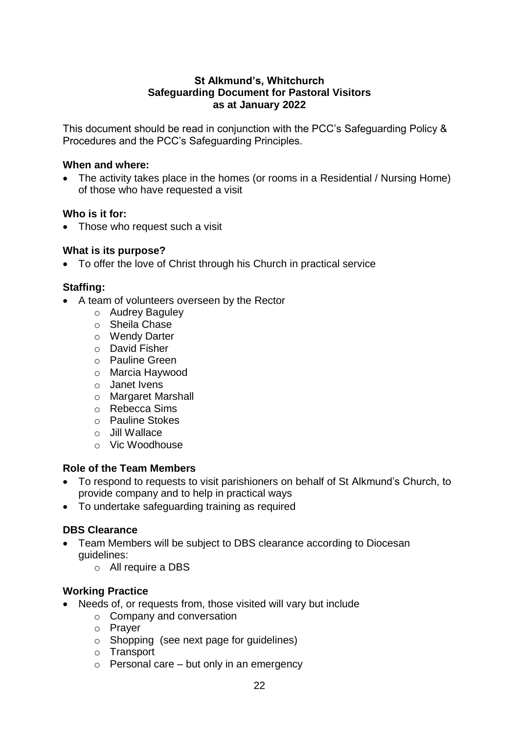### **St Alkmund's, Whitchurch Safeguarding Document for Pastoral Visitors as at January 2022**

This document should be read in conjunction with the PCC's Safeguarding Policy & Procedures and the PCC's Safeguarding Principles.

#### **When and where:**

• The activity takes place in the homes (or rooms in a Residential / Nursing Home) of those who have requested a visit

#### **Who is it for:**

• Those who request such a visit

#### **What is its purpose?**

To offer the love of Christ through his Church in practical service

#### **Staffing:**

- A team of volunteers overseen by the Rector
	- o Audrey Baguley
	- o Sheila Chase
	- o Wendy Darter
	- o David Fisher
	- o Pauline Green
	- o Marcia Haywood
	- o Janet Ivens
	- o Margaret Marshall
	- o Rebecca Sims
	- o Pauline Stokes
	- o Jill Wallace
	- o Vic Woodhouse

#### **Role of the Team Members**

- To respond to requests to visit parishioners on behalf of St Alkmund's Church, to provide company and to help in practical ways
- To undertake safeguarding training as required

#### **DBS Clearance**

- Team Members will be subject to DBS clearance according to Diocesan guidelines:
	- o All require a DBS

- Needs of, or requests from, those visited will vary but include
	- o Company and conversation
	- o Prayer
	- o Shopping (see next page for guidelines)
	- o Transport
	- $\circ$  Personal care but only in an emergency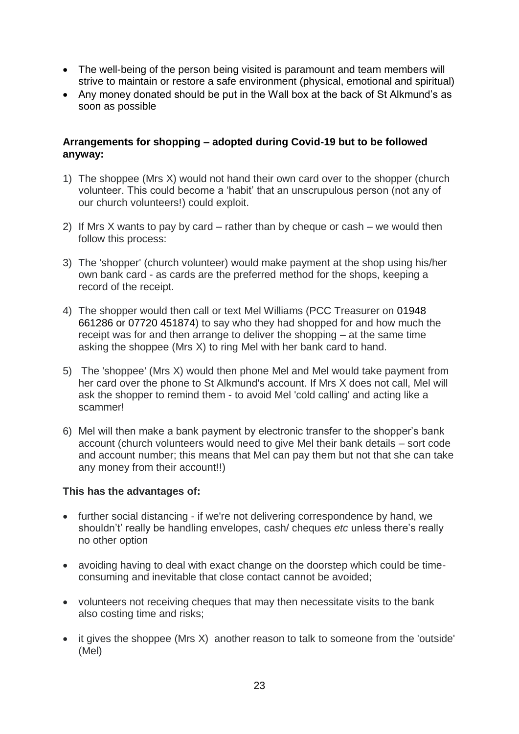- The well-being of the person being visited is paramount and team members will strive to maintain or restore a safe environment (physical, emotional and spiritual)
- Any money donated should be put in the Wall box at the back of St Alkmund's as soon as possible

# **Arrangements for shopping – adopted during Covid-19 but to be followed anyway:**

- 1) The shoppee (Mrs X) would not hand their own card over to the shopper (church volunteer. This could become a 'habit' that an unscrupulous person (not any of our church volunteers!) could exploit.
- 2) If Mrs X wants to pay by card rather than by cheque or cash we would then follow this process:
- 3) The 'shopper' (church volunteer) would make payment at the shop using his/her own bank card - as cards are the preferred method for the shops, keeping a record of the receipt.
- 4) The shopper would then call or text Mel Williams (PCC Treasurer on 01948 661286 or 07720 451874) to say who they had shopped for and how much the receipt was for and then arrange to deliver the shopping – at the same time asking the shoppee (Mrs X) to ring Mel with her bank card to hand.
- 5) The 'shoppee' (Mrs X) would then phone Mel and Mel would take payment from her card over the phone to St Alkmund's account. If Mrs X does not call, Mel will ask the shopper to remind them - to avoid Mel 'cold calling' and acting like a scammer!
- 6) Mel will then make a bank payment by electronic transfer to the shopper's bank account (church volunteers would need to give Mel their bank details – sort code and account number; this means that Mel can pay them but not that she can take any money from their account!!)

#### **This has the advantages of:**

- further social distancing if we're not delivering correspondence by hand, we shouldn't' really be handling envelopes, cash/ cheques *etc* unless there's really no other option
- avoiding having to deal with exact change on the doorstep which could be timeconsuming and inevitable that close contact cannot be avoided;
- volunteers not receiving cheques that may then necessitate visits to the bank also costing time and risks;
- it gives the shoppee (Mrs X) another reason to talk to someone from the 'outside' (Mel)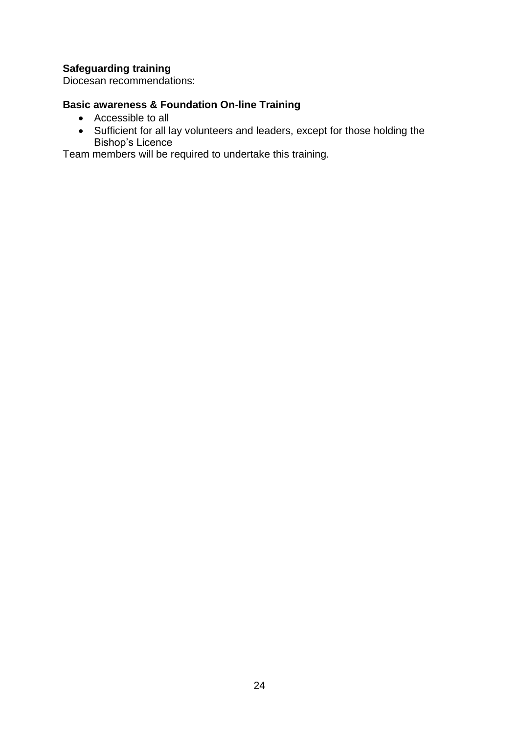Diocesan recommendations:

# **Basic awareness & Foundation On-line Training**

- Accessible to all
- Sufficient for all lay volunteers and leaders, except for those holding the Bishop's Licence

Team members will be required to undertake this training.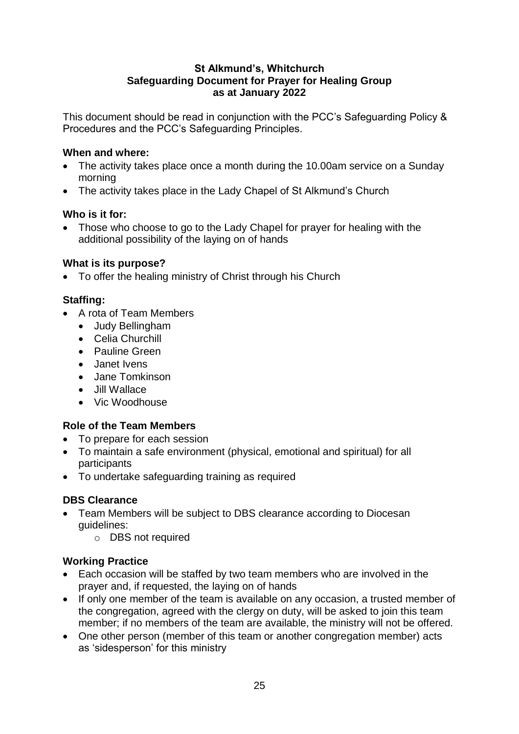# **St Alkmund's, Whitchurch Safeguarding Document for Prayer for Healing Group as at January 2022**

This document should be read in conjunction with the PCC's Safeguarding Policy & Procedures and the PCC's Safeguarding Principles.

# **When and where:**

- The activity takes place once a month during the 10.00am service on a Sunday morning
- The activity takes place in the Lady Chapel of St Alkmund's Church

# **Who is it for:**

• Those who choose to go to the Lady Chapel for prayer for healing with the additional possibility of the laying on of hands

# **What is its purpose?**

To offer the healing ministry of Christ through his Church

# **Staffing:**

- A rota of Team Members
	- Judy Bellingham
	- Celia Churchill
	- Pauline Green
	- Janet Ivens
	- Jane Tomkinson
	- Jill Wallace
	- Vic Woodhouse

# **Role of the Team Members**

- To prepare for each session
- To maintain a safe environment (physical, emotional and spiritual) for all participants
- To undertake safeguarding training as required

# **DBS Clearance**

- Team Members will be subject to DBS clearance according to Diocesan guidelines:
	- o DBS not required

- Each occasion will be staffed by two team members who are involved in the prayer and, if requested, the laying on of hands
- If only one member of the team is available on any occasion, a trusted member of the congregation, agreed with the clergy on duty, will be asked to join this team member; if no members of the team are available, the ministry will not be offered.
- One other person (member of this team or another congregation member) acts as 'sidesperson' for this ministry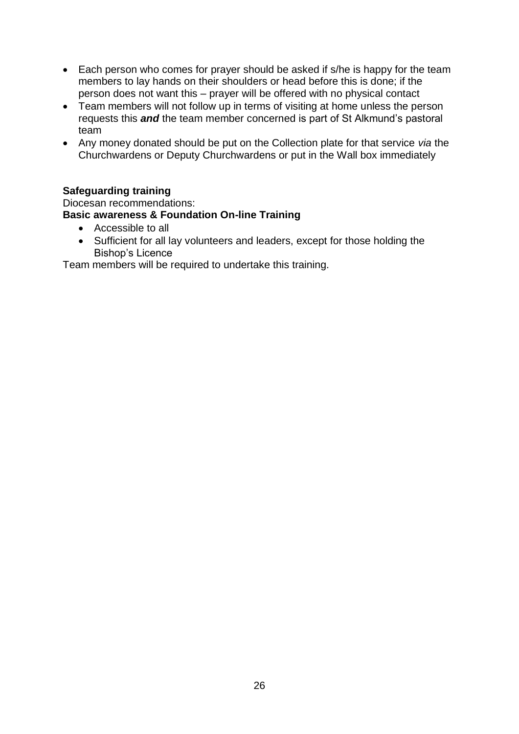- Each person who comes for prayer should be asked if s/he is happy for the team members to lay hands on their shoulders or head before this is done; if the person does not want this – prayer will be offered with no physical contact
- Team members will not follow up in terms of visiting at home unless the person requests this *and* the team member concerned is part of St Alkmund's pastoral team
- Any money donated should be put on the Collection plate for that service *via* the Churchwardens or Deputy Churchwardens or put in the Wall box immediately

Diocesan recommendations: **Basic awareness & Foundation On-line Training** 

- Accessible to all
- Sufficient for all lay volunteers and leaders, except for those holding the Bishop's Licence

Team members will be required to undertake this training.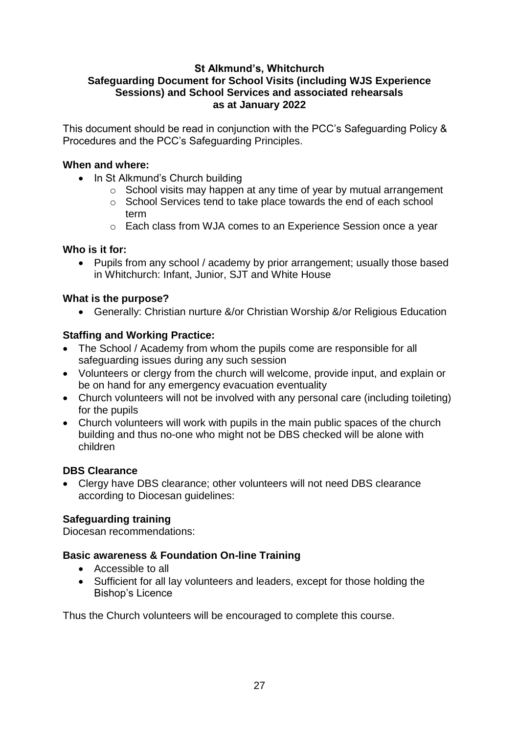### **St Alkmund's, Whitchurch Safeguarding Document for School Visits (including WJS Experience Sessions) and School Services and associated rehearsals as at January 2022**

This document should be read in conjunction with the PCC's Safeguarding Policy & Procedures and the PCC's Safeguarding Principles.

### **When and where:**

- In St Alkmund's Church building
	- o School visits may happen at any time of year by mutual arrangement
	- o School Services tend to take place towards the end of each school term
	- o Each class from WJA comes to an Experience Session once a year

# **Who is it for:**

• Pupils from any school / academy by prior arrangement; usually those based in Whitchurch: Infant, Junior, SJT and White House

# **What is the purpose?**

Generally: Christian nurture &/or Christian Worship &/or Religious Education

# **Staffing and Working Practice:**

- The School / Academy from whom the pupils come are responsible for all safeguarding issues during any such session
- Volunteers or clergy from the church will welcome, provide input, and explain or be on hand for any emergency evacuation eventuality
- Church volunteers will not be involved with any personal care (including toileting) for the pupils
- Church volunteers will work with pupils in the main public spaces of the church building and thus no-one who might not be DBS checked will be alone with children

#### **DBS Clearance**

• Clergy have DBS clearance; other volunteers will not need DBS clearance according to Diocesan guidelines:

# **Safeguarding training**

Diocesan recommendations:

# **Basic awareness & Foundation On-line Training**

- Accessible to all
- Sufficient for all lay volunteers and leaders, except for those holding the Bishop's Licence

Thus the Church volunteers will be encouraged to complete this course.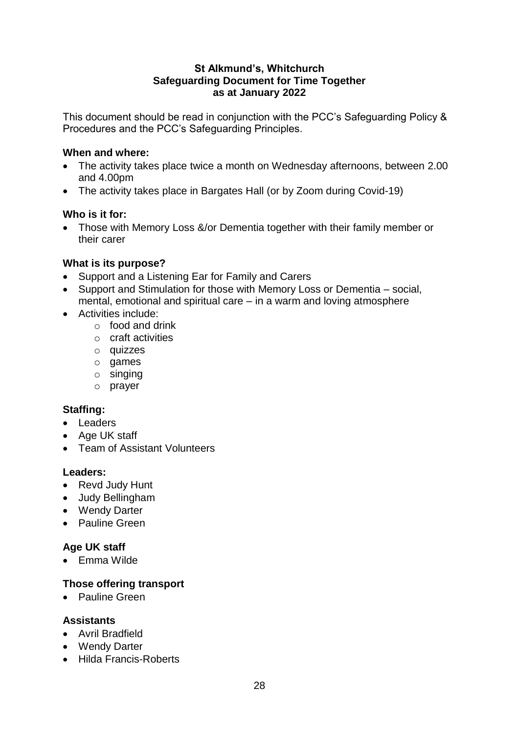#### **St Alkmund's, Whitchurch Safeguarding Document for Time Together as at January 2022**

This document should be read in conjunction with the PCC's Safeguarding Policy & Procedures and the PCC's Safeguarding Principles.

# **When and where:**

- The activity takes place twice a month on Wednesday afternoons, between 2.00 and 4.00pm
- The activity takes place in Bargates Hall (or by Zoom during Covid-19)

# **Who is it for:**

• Those with Memory Loss &/or Dementia together with their family member or their carer

# **What is its purpose?**

- Support and a Listening Ear for Family and Carers
- Support and Stimulation for those with Memory Loss or Dementia social, mental, emotional and spiritual care – in a warm and loving atmosphere
- Activities include:
	- $\circ$  food and drink
	- o craft activities
	- o quizzes
	- o games
	- o singing
	- o prayer

# **Staffing:**

- Leaders
- Age UK staff
- Team of Assistant Volunteers

#### **Leaders:**

- Revd Judy Hunt
- Judy Bellingham
- Wendy Darter
- Pauline Green

# **Age UK staff**

• Emma Wilde

# **Those offering transport**

• Pauline Green

# **Assistants**

- Avril Bradfield
- Wendy Darter
- Hilda Francis-Roberts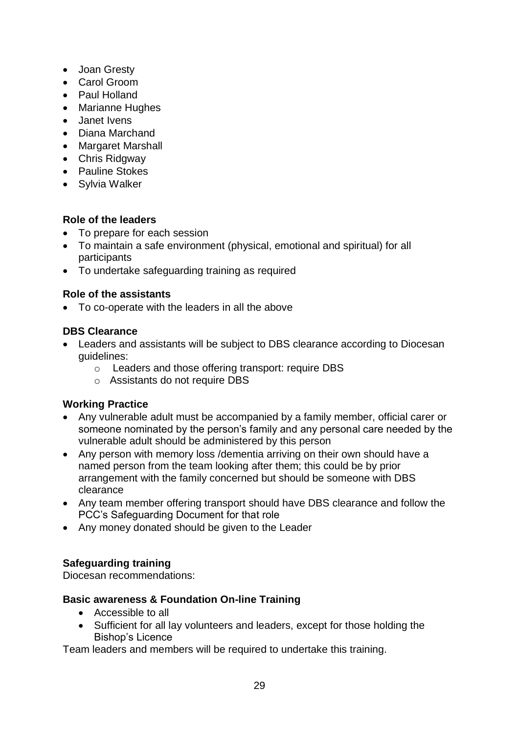- Joan Gresty
- Carol Groom
- Paul Holland
- Marianne Hughes
- Janet Ivens
- Diana Marchand
- Margaret Marshall
- Chris Ridgway
- Pauline Stokes
- Sylvia Walker

# **Role of the leaders**

- To prepare for each session
- To maintain a safe environment (physical, emotional and spiritual) for all participants
- To undertake safeguarding training as required

# **Role of the assistants**

To co-operate with the leaders in all the above

# **DBS Clearance**

- Leaders and assistants will be subject to DBS clearance according to Diocesan guidelines:
	- o Leaders and those offering transport: require DBS
	- o Assistants do not require DBS

# **Working Practice**

- Any vulnerable adult must be accompanied by a family member, official carer or someone nominated by the person's family and any personal care needed by the vulnerable adult should be administered by this person
- Any person with memory loss /dementia arriving on their own should have a named person from the team looking after them; this could be by prior arrangement with the family concerned but should be someone with DBS clearance
- Any team member offering transport should have DBS clearance and follow the PCC's Safeguarding Document for that role
- Any money donated should be given to the Leader

# **Safeguarding training**

Diocesan recommendations:

#### **Basic awareness & Foundation On-line Training**

- Accessible to all
- Sufficient for all lay volunteers and leaders, except for those holding the Bishop's Licence

Team leaders and members will be required to undertake this training.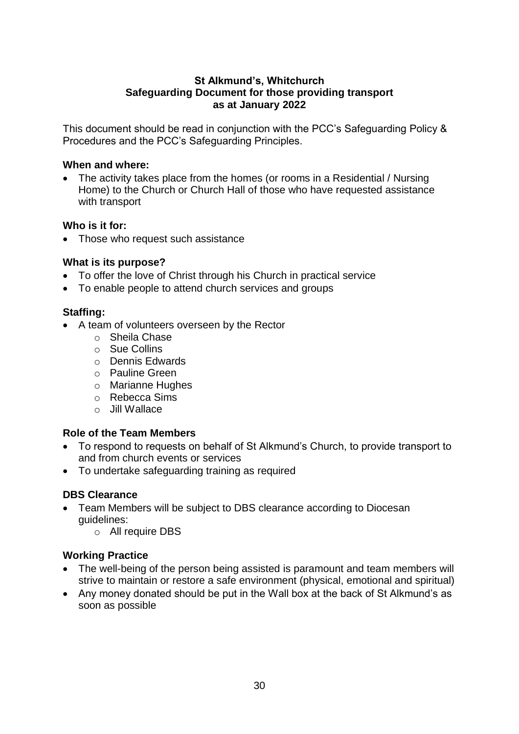# **St Alkmund's, Whitchurch Safeguarding Document for those providing transport as at January 2022**

This document should be read in conjunction with the PCC's Safeguarding Policy & Procedures and the PCC's Safeguarding Principles.

#### **When and where:**

• The activity takes place from the homes (or rooms in a Residential / Nursing Home) to the Church or Church Hall of those who have requested assistance with transport

# **Who is it for:**

• Those who request such assistance

# **What is its purpose?**

- To offer the love of Christ through his Church in practical service
- To enable people to attend church services and groups

# **Staffing:**

- A team of volunteers overseen by the Rector
	- o Sheila Chase
	- o Sue Collins
	- o Dennis Edwards
	- o Pauline Green
	- o Marianne Hughes
	- o Rebecca Sims
	- o Jill Wallace

# **Role of the Team Members**

- To respond to requests on behalf of St Alkmund's Church, to provide transport to and from church events or services
- To undertake safeguarding training as required

# **DBS Clearance**

- Team Members will be subject to DBS clearance according to Diocesan guidelines:
	- o All require DBS

- The well-being of the person being assisted is paramount and team members will strive to maintain or restore a safe environment (physical, emotional and spiritual)
- Any money donated should be put in the Wall box at the back of St Alkmund's as soon as possible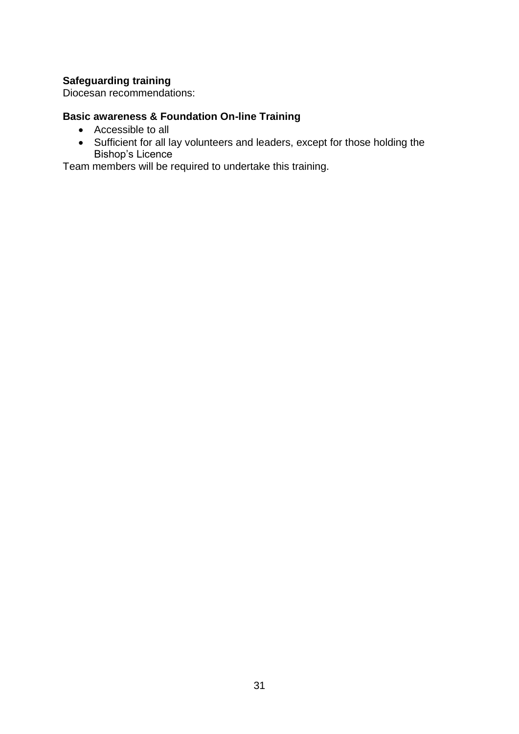Diocesan recommendations:

# **Basic awareness & Foundation On-line Training**

- Accessible to all
- Sufficient for all lay volunteers and leaders, except for those holding the Bishop's Licence

Team members will be required to undertake this training.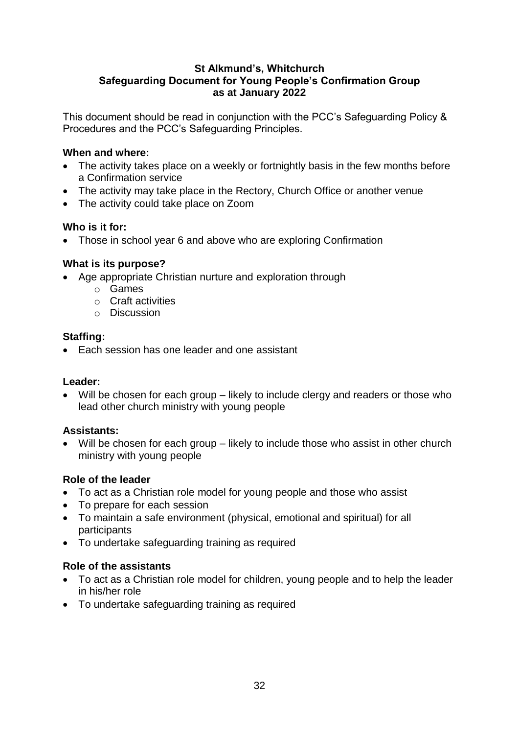# **St Alkmund's, Whitchurch Safeguarding Document for Young People's Confirmation Group as at January 2022**

This document should be read in conjunction with the PCC's Safeguarding Policy & Procedures and the PCC's Safeguarding Principles.

# **When and where:**

- The activity takes place on a weekly or fortnightly basis in the few months before a Confirmation service
- The activity may take place in the Rectory, Church Office or another venue
- The activity could take place on Zoom

# **Who is it for:**

• Those in school year 6 and above who are exploring Confirmation

# **What is its purpose?**

- Age appropriate Christian nurture and exploration through
	- o Games
	- o Craft activities
	- o Discussion

# **Staffing:**

• Each session has one leader and one assistant

#### **Leader:**

• Will be chosen for each group – likely to include clergy and readers or those who lead other church ministry with young people

#### **Assistants:**

Will be chosen for each group – likely to include those who assist in other church ministry with young people

# **Role of the leader**

- To act as a Christian role model for young people and those who assist
- To prepare for each session
- To maintain a safe environment (physical, emotional and spiritual) for all participants
- To undertake safeguarding training as required

#### **Role of the assistants**

- To act as a Christian role model for children, young people and to help the leader in his/her role
- To undertake safeguarding training as required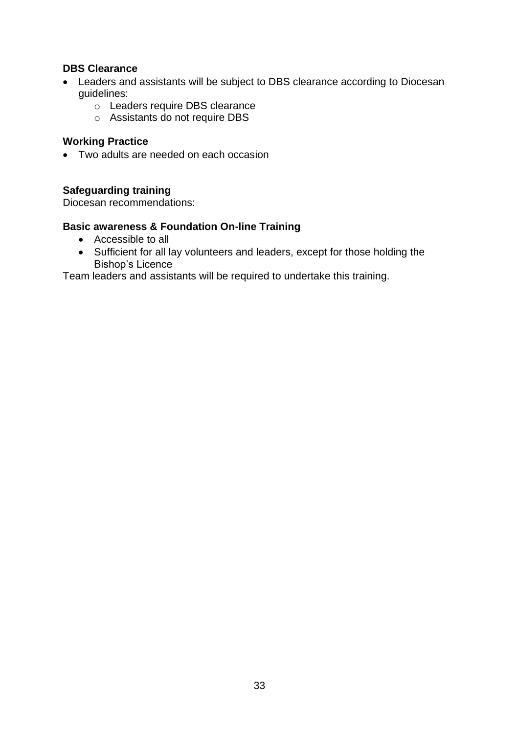# **DBS Clearance**

- Leaders and assistants will be subject to DBS clearance according to Diocesan guidelines:
	- o Leaders require DBS clearance
	- o Assistants do not require DBS

# **Working Practice**

• Two adults are needed on each occasion

# **Safeguarding training**

Diocesan recommendations:

#### **Basic awareness & Foundation On-line Training**

- Accessible to all
- Sufficient for all lay volunteers and leaders, except for those holding the Bishop's Licence

Team leaders and assistants will be required to undertake this training.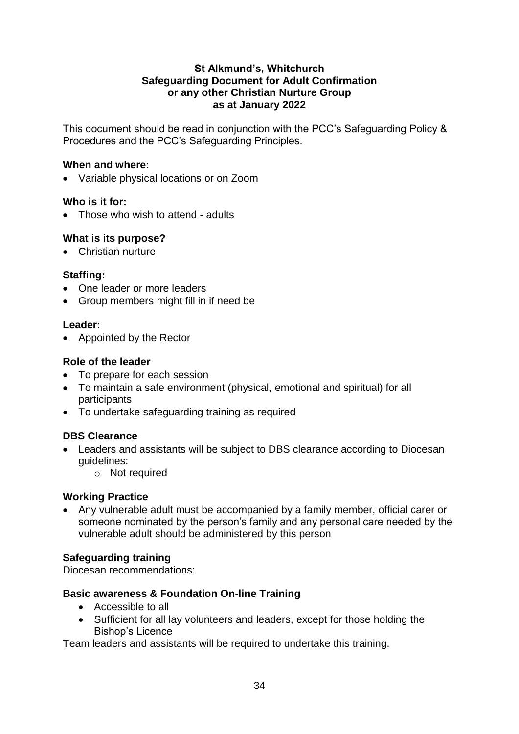### **St Alkmund's, Whitchurch Safeguarding Document for Adult Confirmation or any other Christian Nurture Group as at January 2022**

This document should be read in conjunction with the PCC's Safeguarding Policy & Procedures and the PCC's Safeguarding Principles.

#### **When and where:**

Variable physical locations or on Zoom

#### **Who is it for:**

• Those who wish to attend - adults

#### **What is its purpose?**

• Christian nurture

#### **Staffing:**

- One leader or more leaders
- Group members might fill in if need be

#### **Leader:**

• Appointed by the Rector

#### **Role of the leader**

- To prepare for each session
- To maintain a safe environment (physical, emotional and spiritual) for all participants
- To undertake safeguarding training as required

#### **DBS Clearance**

- Leaders and assistants will be subject to DBS clearance according to Diocesan guidelines:
	- o Not required

#### **Working Practice**

 Any vulnerable adult must be accompanied by a family member, official carer or someone nominated by the person's family and any personal care needed by the vulnerable adult should be administered by this person

#### **Safeguarding training**

Diocesan recommendations:

#### **Basic awareness & Foundation On-line Training**

- Accessible to all
- Sufficient for all lay volunteers and leaders, except for those holding the Bishop's Licence

Team leaders and assistants will be required to undertake this training.